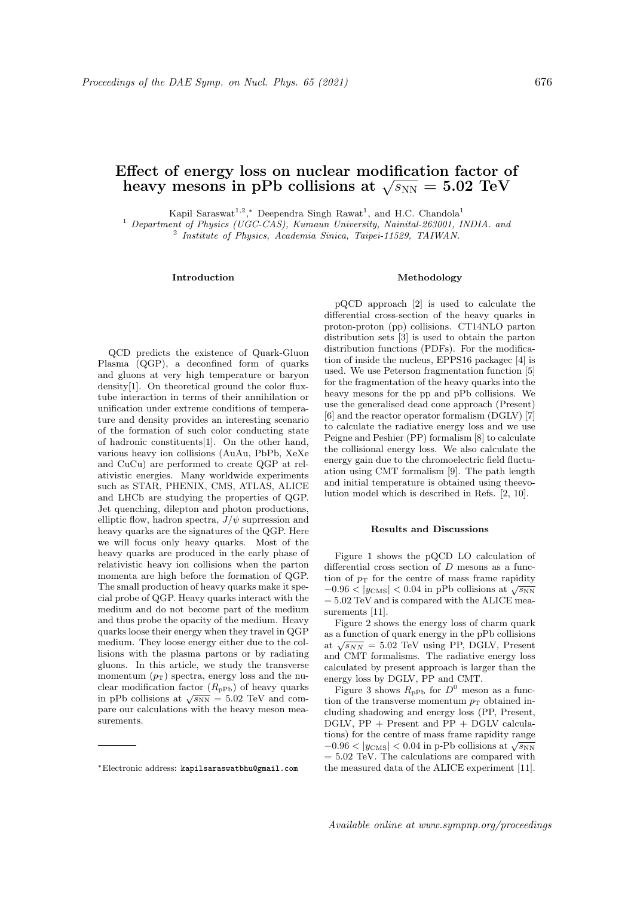# Effect of energy loss on nuclear modification factor of  $\alpha$  thect of energy loss on nuclear modification factor contained the pPb collisions at  $\sqrt{s_\mathrm{NN}}=5.02\;\mathrm{TeV}$

Kapil Saraswat<sup>1,2</sup>,\* Deependra Singh Rawat<sup>1</sup>, and H.C. Chandola<sup>1</sup>

<sup>1</sup> Department of Physics (UGC-CAS), Kumaun University, Nainital-263001, INDIA. and

2 Institute of Physics, Academia Sinica, Taipei-11529, TAIWAN.

## Introduction

QCD predicts the existence of Quark-Gluon Plasma (QGP), a deconfined form of quarks and gluons at very high temperature or baryon density[1]. On theoretical ground the color fluxtube interaction in terms of their annihilation or unification under extreme conditions of temperature and density provides an interesting scenario of the formation of such color conducting state of hadronic constituents[1]. On the other hand, various heavy ion collisions (AuAu, PbPb, XeXe and CuCu) are performed to create QGP at relativistic energies. Many worldwide experiments such as STAR, PHENIX, CMS, ATLAS, ALICE and LHCb are studying the properties of QGP. Jet quenching, dilepton and photon productions, elliptic flow, hadron spectra,  $J/\psi$  suprression and heavy quarks are the signatures of the QGP. Here we will focus only heavy quarks. Most of the heavy quarks are produced in the early phase of relativistic heavy ion collisions when the parton momenta are high before the formation of QGP. The small production of heavy quarks make it special probe of QGP. Heavy quarks interact with the medium and do not become part of the medium and thus probe the opacity of the medium. Heavy quarks loose their energy when they travel in QGP medium. They loose energy either due to the collisions with the plasma partons or by radiating gluons. In this article, we study the transverse momentum  $(p_T)$  spectra, energy loss and the nuclear modification factor  $(R_{\text{pPb}})$  of heavy quarks ciear modification ractor  $(\Lambda_{PPb})$  or heavy quarks<br>in pPb collisions at  $\sqrt{s_{NN}} = 5.02$  TeV and compare our calculations with the heavy meson measurements.

#### Methodology

pQCD approach [2] is used to calculate the differential cross-section of the heavy quarks in proton-proton (pp) collisions. CT14NLO parton distribution sets [3] is used to obtain the parton distribution functions (PDFs). For the modification of inside the nucleus, EPPS16 packagec [4] is used. We use Peterson fragmentation function [5] for the fragmentation of the heavy quarks into the heavy mesons for the pp and pPb collisions. We use the generalised dead cone approach (Present) [6] and the reactor operator formalism (DGLV) [7] to calculate the radiative energy loss and we use Peigne and Peshier (PP) formalism [8] to calculate the collisional energy loss. We also calculate the energy gain due to the chromoelectric field fluctuation using CMT formalism [9]. The path length and initial temperature is obtained using theevolution model which is described in Refs. [2, 10].

### Results and Discussions

Figure 1 shows the pQCD LO calculation of differential cross section of D mesons as a function of  $p_T$  for the centre of mass frame rapidity  $-0.96 < |y_{\text{CMS}}| < 0.04$  in pPb collisions at  $\sqrt{s_{\text{NN}}}$  $= 5.02$  TeV and is compared with the ALICE measurements [11].

Figure 2 shows the energy loss of charm quark as a function of quark energy in the pPb collisions as a function of quark energy in the pr b consions at  $\sqrt{s_{NN}} = 5.02$  TeV using PP, DGLV, Present and CMT formalisms. The radiative energy loss calculated by present approach is larger than the energy loss by DGLV, PP and CMT.

Figure 3 shows  $R_{\text{pPb}}$  for  $D^0$  meson as a function of the transverse momentum  $p_T$  obtained including shadowing and energy loss (PP, Present, DGLV, PP + Present and PP + DGLV calculations) for the centre of mass frame rapidity range  $-0.96 < |y_{\text{CMS}}| < 0.04$  in p-Pb collisions at  $\sqrt{s_{\text{NN}}}$  $= 5.02$  TeV. The calculations are compared with the measured data of the ALICE experiment [11].

<sup>∗</sup>Electronic address: kapilsaraswatbhu@gmail.com